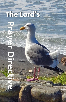# The Lord's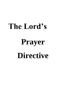# **The Lord's**

# **Prayer Directive**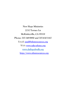**New Hope Ministries 2232 Terrace Ln McKinleyville, CA 95519 Phone: 707-349-9890 and 707-630-3167 Email: [paul@nhmresources.org](mailto:paul@nhmresources.org) Web:<www.take-a-knee.org> [www.dailygodwalk.org](http://www.dailygodwalk.org/) [http://www.nhmresources.org](http://www.nhmresources.org/)**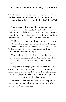#### **"This Then Is How You Should Pray" - Matthew 6:9**

**One day Jesus was praying in a certain place. When he finished, one of his disciples said to him, "Lord, teach us to pray, just as John taught his disciples." - Luke 11:1**

Jesus answered that request by giving what has become known as "The Lord's Prayer," and in some traditions it is called the "Our Father." We often pray this prayer in worship services and in our private prayer time. It is often used as the closing prayer in a meeting.

Did Jesus really intend for his followers to pray these words when they prayed, or did he intend for this prayer to be used as a pattern for prayer? I don't think his is an "either or," but I do believe Jesus meant for this to primarily be a pattern for prayer.

That is why we call it the Lord's prayer directive. He was answering the request of the disciples to teach them to pray. This small book is written with that idea in mind.

Every phrase in the prayer is broken down and an explanation is given as to what is being addressed and a sample prayer is given for that phrase. It is not intended for the sample prayer to be "the prayer" for that phrase, but it is just a guide for praying that phrase.

It is my hope that this little booklet will help you in your prayer journey and at least give you some guidance as you Take A Knee In Prayer.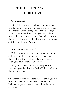## **THE LORD'S PRAYER DIRECTIVE**

#### **Matthew 6:9-13**

Our Father in heaven, hallowed by your name, your kingdom come, your will be done on earth as it is in heaven. Give us today our daily bread. Forgive us our debts, as we also have forgiven our debtors. And lead us not into temptation, but deliver us from the evil one. For yours is the kingdom and the power and the glory forever. Amen.

#### "**Our Father in Heaven..."**

Father brings to our mind two things; loving care and authority. In our prayer we need to recognize that God is truly our father. In fact, it is good to begin your prayer with, "Our Father."

It is good at the beginning of your prayer to meditate upon the idea that God is Father, and what that means to you.

**Our prayer should be:** "Father God, I thank you for caring for me more than an earthly father could. Help me to appreciate your love and yield to your authority."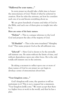#### **"Hallowed be your name..."**

In every prayer we should take a little time to honor the awesomeness of God. Think of what he achieved in creation. How he rules the universe, yet how he considers each one of us and knows everything about us.

We are given hundreds of names and titles of God in the Bible, and each one of them gives us insight into who he is.

#### **Here are some of his basic names:**

**"Elohim" —** This is a unique reference to the Lord God and projects the idea of the majesty of God.

**"El Shaddai"** — This is the term translated "Almighty God." This name projects God as the all sufficient one.

**"Jehovah"** — Here God is shown to be the eternally self existent one. He exists without the limits of time, and without dependence upon any other force. He is the only totally self existent one in the universe.

By taking a moment to reflect upon one or more of these names of God in our prayer we can begin to develop a sense of awesomeness about him.

#### **"Your kingdom come..."**

God's kingdom will come, the question is will we participate in it? This is not a request but a statement, "Your kingdom [will] come." We must accept that there is a higher force at work in the world, and that he has a plan.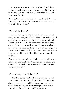Our prayer concerning the kingdom of God should be that our spiritual eyes are opened to see God working in his kingdom and seek him to know what he would have us do for him.

**We should pray:** "Lord, help me to see how that you are bringing your kingdom to men and show me what my part is in the kingdom."

#### **"Your will be done..."**

It is easy to say, "God's will be done," but it is not always easy to accept God's will. Even Jesus had to spend a lot of time praying the night of his capture and trial. Finally, after the sweat of his labor of prayer became as drops of blood, he was able to say, "Nevertheless Father, not my will but yours be done." We don't have to go to a literal cross like Jesus did, but we must come to the place that we are willing to do the will of God whatever it might be.

**Our prayer here should be**: "Help me to be willing to be yielded to your will Lord. Whatever you have for me to do I will do it. I will use whatever talent you have given me to do your will."

#### **"Give us today our daily bread..."**

Whether we are employed or unemployed we still need to ask God for our daily provision. Our security should never be in our ability to earn money, but in God's bountiful supply. Usually his provision comes through our labor, but it is still his provision.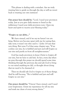This phrase is dealing with a mindset. Are we truly trusting him to guide us through the day or will we revert back to trusting our own instincts?

**Our prayer here should be:** "Lord, I need your provision today. Just as you gave daily manna to Israel in the wilderness I need your daily provision now. Open my heart and spirit to receive your blessing today."

#### **"Forgive us our debts..."**

We have sinned, and if we say we haven't we are lying. Before you become upset with me for saying that, take note; it wasn't me who said it. 1 John 1:8 says that very thing. But verse 9 of that same chapter says, "If we confess our sins, he is faithful and just and will forgive us our sins and purify us from all unrighteousness."

God has made provision in Jesus Christ to forgive all our sins, but we have to ask him. In fact, every day when we pray through this prayer we should spend some time thinking through the previous day and ask God to bring to our mind anything we did, or thought about doing that we need to be cleansed of.

Then we should ask God to forgive us of those things. And he will because, "He is faithful and just and will forgive us our sins."

**Our prayer should be:** "I know I have sinned, and I need your forgiveness. Grant me repentance for all my sins and wash me clean of every wrong desire."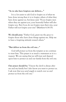#### **"As we also have forgiven our debtors..."**

It is a lot easier to ask God to forgive us of what we have done wrong than it is to forgive others of what they have done against us, but Jesus said, "If you forgive men when they sin against you, your heavenly Father will also forgive you. But if you do not forgive men their sins, your Father will not forgive your sins" (Matthew 6:14-15).

**We should pray:** "Father God, grant me the grace to forgive those who have done things against me. Help me to have a forgiving attitude toward others."

#### **"But deliver us from the evil one..."**

God will protect us from the tempter as we continue to trust him. This prayer is as much a statement as it is a request. We are saying that we will trust and depend upon him to protect us and our family from the evil one.

**Our prayer should be:** "I know the devil is always after me and my family but I also know you want to protect us. I ask now that you send angels to watch over us and protect us from the evil one."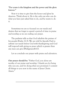#### **"For yours is the kingdom and the power and the glory forever."**

Now it is time to give him the honor and glory he deserves. Think about it. He is the only one who can do what you have just asked him to do, and he wants to do it.

Sometimes we are so focused on our needs and desires that we forget to spend a period of time in praise and worship as we are ending our prayer.

The psalmist tells us that God inhabits the praises of his people (Psalm 22:3). We are told by Apostle Paul to submit our needs before God with thanksgiving and God will respond with giving us peace which is greater than any man can give (Philippians4:4-7).

Let us conclude our prayer with praise and adoration.

**Our prayer should be:** "Father God, you alone are worthy of our praise and worship. I thank you for being who you are, and for doing what you promised. I commit all things to you now in the name of Jesus Christ. Amen."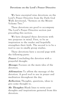**Devotions on the Lord's Prayer Directive**

We have excerpted nine devotions on the Lord's Prayer Directive from the Daily God Walk devotional, "Sermon on the Mount Volume Two."

These devotions are good to accompany The Lord's Prayer Directive section just preceding this section.

We have designed these devotions with two purposes in mind. First, to be an inspiration to the reader and hopefully strengthen their faith. The second is to be a tool to use in smally group studies.

These devotions have a second page with the following parts:

**Prayer:** Concluding the devotion with a prayerful thought.

**Message:** Focuses on the main idea of the devotion.

**Affirmation:** To affirm the message of the devotion. A good tool to use in prayer and meditation throughout the day.

**Reflection:** Thoughts, questions, ideas to give some thought to.

**My Thoughts:** Blank lines to write your thoughts and inspirations garnered from this devotion.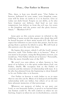#### **Pray… Our Father in Heaven**

This, then, is how you should pray: "Our Father in heaven, hallowed by your name, your kingdom come, your will be done on earth as it is in heaven. Give us today our daily bread. Forgive us our debts, as be also have forgiven our debtors. And lead us not into temptation, but deliver us from the evil one, for yours is the kingdom and the power and the glory forever. Amen." – Matthew  $6.9.13$ 

Jesus gave us this concise prayer in rebuttal to the babbling of many words like pagans who think they will be heard because of their many words (v7). He did not expect his followers to just recite this prayer, but he was giving them a pattern by which to pray. We will look at this pattern over the next few days.

He begins this prayer, which I call the Lord's prayer directive, with "Our Father who is in heaven." Now, if you want to be proper, using the King James version, you would say, "Our Father which art in heaven." Personally, I like the more friendly tone of the NIV.

We aren't too sure where, or what, heaven is, but most of us believe it is the spirit realm where God, our Father, dwells. We recognize him as the Father of creation and the initiator of relationship with man. It is he who has planned from the beginning to show himself to be our Father who is in heaven.

Our Father in heaven is truly father to us in ways that no one else can be. Many of us had good and healthy relationship with our father, but others of us do not have pleasant memories of that personage.

Whatever our memory of father in our past, our Lord, as our heavenly Father, is good to us beyond what any human could be. He will comfort us when we are hurting, forgive us when we are in disobedience, console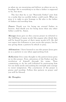us when we are mourning and deliver us when we are in bondage. He is everything to us that a father is supposed to be, but more.

The fact that he is our "Heavenly Father" puts him in a realm that no earthly father could reach. When we pray it is right to give homage to He who is the father of fathers and worship him.

Prayer: Thank you for being my eternal Father in heaven. And thank you for being more than any other father could be. Amen.

**Message:** Jesus gave us this concise prayer in rebuttal to the babbling of many words like pagans who think they will be heard because of their many words (v7). He did not expect his followers to just recite this prayer, but he was giving them a pattern by which to pray.

**Affirmation:** I have learned to use this prayer Jesus gave us as a pattern to use when approaching God.

**Reflection:** Give some thought to the pattern Jesus gives us in this prayer. First, adoration of the Father and the revelation of himself through his name. Then committing to do his will followed by petitioning him for our daily needs and seeking his strength and courage to resist temptation. The conclusion of the prayer is praise and worship. Follow this pattern in prayer and you will be blessed.

\_\_\_\_\_\_\_\_\_\_\_\_\_\_\_\_\_\_\_\_\_\_\_\_\_\_\_\_\_\_\_\_  $\overline{\phantom{a}}$  , which is a set of the set of the set of the set of the set of the set of the set of the set of the set of the set of the set of the set of the set of the set of the set of the set of the set of the set of th  $\overline{\phantom{a}}$  , where the contract of the contract of the contract of the contract of the contract of the contract of the contract of the contract of the contract of the contract of the contract of the contract of the contr  $\overline{\phantom{a}}$  , where the contract of the contract of the contract of the contract of the contract of the contract of the contract of the contract of the contract of the contract of the contract of the contract of the contr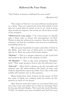#### **Hallowed Be Your Name**

"Our Father in heaven, hallowed by your name"

 $-$  Matthew 6.9

The names of God are not just arbitrary words given to a deity. They are expressions from him which reveal who he is and what he wants to be to us. God is more than words can express, but words are all we have to tell of his wonders.

**"Hallowed be your name..."** In every prayer we should take a little time to honor the awesomeness of God. Think of what he achieved in creation. How he rules the universe, yet how he considers e ach one of us and knows everything about us.

We are given hundreds of names and titles of God in the Bible, and each one of them gives us insight into who he is. Here are some of his basic names:

**"Elohim" —** This is a unique reference to the Lord God and projects the idea of the majesty of God.

**"El Shaddai"** — This is the term translated "Almighty God." This name projects God as the all sufficient one.

**"Jehovah"** — Here God is shown to be the eternally self existent one. He exists without the limits of time, and without dependence upon any other force. He is the only totally self existent one in the universe.

Many books have been written on the names of God but none of them can compare with his names he has written on each of our hearts.

How does he write his names on our heart? Have you ever been sick and called out to him for healing? Then he became Jehovah Raphe, The Lord who heals (Exodus 15:26). Or maybe you were troubled and had lost your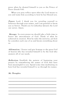peace when he showed himself to you as the Prince of Peace (Isaiah 9:6).

When you pray reflect upon what the Lord means to you and name him according to how he has blessed you.

Prayer: Lord, I thank you for revealing yourself to believers through your names, and I am grateful to know you as Savior. Thank you for Jeheshua (Jesus); the Lord our savior. Amen.

**Message:** In every prayer we should take a little time to honor the awesomeness of God. Think of what he achieved in creation. How he rules the universe, yet how he considers each one of us and knows everything about  $\overline{u}$ 

**Affirmation:** I honor and give homage to the great God of heaven who has revealed himself to be the God who answers all of our needs.

**Reflection:** Establish the pattern of beginning your prayers by remembering the names of God that have been meaningful to you. Spend some time meditating on how God has revealed himself to us through his names.

 $\overline{\phantom{a}}$  , where the contract of the contract of the contract of the contract of the contract of the contract of the contract of the contract of the contract of the contract of the contract of the contract of the contr \_\_\_\_\_\_\_\_\_\_\_\_\_\_\_\_\_\_\_\_\_\_\_\_\_\_\_\_\_\_\_\_ \_\_\_\_\_\_\_\_\_\_\_\_\_\_\_\_\_\_\_\_\_\_\_\_\_\_\_\_\_\_\_\_  $\overline{\phantom{a}}$  , which is a set of the set of the set of the set of the set of the set of the set of the set of the set of the set of the set of the set of the set of the set of the set of the set of the set of the set of th  $\overline{\phantom{a}}$  , where the contract of the contract of the contract of the contract of the contract of the contract of the contract of the contract of the contract of the contract of the contract of the contract of the contr  $\overline{\phantom{a}}$  , where the contract of the contract of the contract of the contract of the contract of the contract of the contract of the contract of the contract of the contract of the contract of the contract of the contr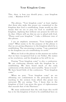#### **Your Kingdom Come**

This, then, is how you should pray:… your kingdom come. – Matthew 6:9-10

The phrase, "Your kingdom come" at least implies that those who make this prayer are committed to the kingdom that God is establishing. Some would say this means that we are to pray for God to establish his kingdom, implying that without our prayers he will not do that. Others will say that we are to plead with God, "Please send your kingdom." I take a different view of this phrase.

I see an emphatic statement; "Your kingdom will come!" What seems to be the purpose of the phrase is that we are giving allegiance to the kingdom which he is establishing. The one praying is saying, "I am committed to the kingdom you are establishing on earth."

When we look at the phrase in this manner we realize that we have recognized God as our Father, His names as his revelation, and his kingdom as his will for us.

Praying "Your kingdom come" is also a confession. We are confessing identity with the kingdom he is establishing. We have heard much of the early confessions of the church, most notably, "Jesus is Lord." We have heard little of the confession, "Your kingdom come."

When we pray, "Your kingdom come" we are affirming our commitment to the principles he was teaching in the sermon from which this prayer was extracted. We are saying, "Yes, I know that in the kingdom of God I am given the grace of righteousness that exceeds that of the Pharisees."

We must understand that the only hope this world has is for the kingdom of God to be established here on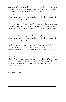earth. And, the kingdom has been established. It is in the heart of every believer. Now we pray, "Your kingdom has come" because it is here in you and I.

When we pray, "Your kingdom come," we are committing to take the kingdom of God to those who need to hear the message.

**Prayer:** Lord, I am grateful that you have revealed yourself and your kingdom to me. I confess to being committed to your kingdom. In Christ's name I pray. Amen.

**Message:** When we pray, "Your kingdom come," we are committing to take the kingdom of God to those who need to hear the message.

**Affirmation:** I have recognized God as my Father, His names as his revelation, and His kingdom as his will for me and the world. I am committed to taking this message to others.

**Reflection:** Three views of the phrase, "Your Kingdom Come," are mentioned in this devotion. Which view seems the most appropriate to you? Give some thought to what it means to you specifically to pray, "Your Kingdom Come."

 $\overline{\phantom{a}}$  , where the contract of the contract of the contract of the contract of the contract of the contract of the contract of the contract of the contract of the contract of the contract of the contract of the contr \_\_\_\_\_\_\_\_\_\_\_\_\_\_\_\_\_\_\_\_\_\_\_\_\_\_\_\_\_\_\_\_  $\overline{\phantom{a}}$  , which is a set of the set of the set of the set of the set of the set of the set of the set of the set of the set of the set of the set of the set of the set of the set of the set of the set of the set of th  $\overline{\phantom{a}}$  , where the contract of the contract of the contract of the contract of the contract of the contract of the contract of the contract of the contract of the contract of the contract of the contract of the contr  $\overline{\phantom{a}}$  , where the contract of the contract of the contract of the contract of the contract of the contract of the contract of the contract of the contract of the contract of the contract of the contract of the contr \_\_\_\_\_\_\_\_\_\_\_\_\_\_\_\_\_\_\_\_\_\_\_\_\_\_\_\_\_\_\_\_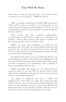#### **Your Will Be Done**

This, then, is how you should pray… Your will be done on earth as it is in heaven. – Matthew 6:9-10

This is another confession of faith. When we pray, "Your will be done on earth as it is in heaven" we are going beyond recognizing the kingdom of God, we are committing ourselves to pursuing not only the kingdom, but his will also.

This prayer has far reaching implications. Committing to God's will on earth as it is in heaven is making a choice that reverses the effect of Adam and Eve choosing their will over God's will.

When we pray this confession of faith we are agreeing with God that the relationship between God and man was broken by sin and that we are, through faith in Jesus, the Christ of Redemption, doing our part to restore that relationship.

By making this prayer we are confessing that we are surrendering our will to the Father and seeking his will for our life in his kingdom and on this earth. This prayer is both a confession of commitment, and a request to know and understand his will.

When we make this prayer we are asking God to reveal his will for our life. We are saying, "God, I have entered your kingdom, now give me instructions on your will for me in your kingdom."

An aspect of kingdom life that is often not understood is that when we make the confession that "Jesus is Lord," we are given access to the kingdom. Life for us in the kingdom of God is to be just like life for Adam and Eve in the Garden of Eden. God has set up the rules and we must be committed to his rules.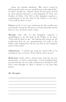Some are already thinking, "We aren't saved by following the rules, we are saved by grace through faith." To that I would say, "Amen!" Now, by the grace of God we have gained entrance to the kingdom of God, our Garden of Eden. Our life in the kingdom requires a commitment to do the will of the Father so we pray, "Your will be done in me."

Prayer: Lord, it isn't easy releasing my life totally into your hands. Grant me the grace to truly surrender all my heart to you. In Jesus name, amen.

**Message:** Our life in the kingdom requires a commitment to do the will of the Father so we pray, "Your will be done in me." By making this prayer we are confessing that we are surrendering our will to the Father and seeking his will for our life in his kingdom and on this earth.

**Affirmation:** I confess my need for God's will to be working in me so I pray, "Your will be done in me."

**Reflection:** God's will is being done and the way we participate, or fail to participate, in his kingdom plan reveals whether we are truly committed to doing his will. Give some thought to what it means to you pray this prayer.

\_\_\_\_\_\_\_\_\_\_\_\_\_\_\_\_\_\_\_\_\_\_\_\_\_\_\_\_\_\_\_\_  $\overline{\phantom{a}}$  , which is a set of the set of the set of the set of the set of the set of the set of the set of the set of the set of the set of the set of the set of the set of the set of the set of the set of the set of th  $\overline{\phantom{a}}$  , where the contract of the contract of the contract of the contract of the contract of the contract of the contract of the contract of the contract of the contract of the contract of the contract of the contr  $\overline{\phantom{a}}$  , where the contract of the contract of the contract of the contract of the contract of the contract of the contract of the contract of the contract of the contract of the contract of the contract of the contr \_\_\_\_\_\_\_\_\_\_\_\_\_\_\_\_\_\_\_\_\_\_\_\_\_\_\_\_\_\_\_\_ \_\_\_\_\_\_\_\_\_\_\_\_\_\_\_\_\_\_\_\_\_\_\_\_\_\_\_\_\_\_\_\_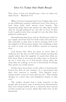#### **Give Us Today Our Daily Bread**

This, then, is how you should pray… Give us today our daily bread. – Matthew 9,11

When God was bringing Israel out of Egypt they were in the wilderness without sufficient food. God chose to feed them daily with manna from heaven. The interesting thing about the manna was that there could only be enough gathered for one day of food. If they tried to gather more than enough for one day what they gathered would spoil.

Remembering that Jesus said we should pray d aily for our supply and trust God for both today and tomorrow. The principle at play here is about trusting God to be the supplier of all necessary things. Our challenge is that we tend to trust our own abilities instead of trusting God.

God knows that when he gives us more than is sufficient for the day we will tend to begin trusting the supply rather than the supplier. It seems that when we have more than is necessary we either want to hoard it up for a rainy day, as if God doesn't know when the rainy days are coming, or we use it frivolously for things that satisfy our sinful nature.

Studies have been done on the effect of winning the lottery has had on the winners. It is interesting that their first reaction is usually, "Our lifestyle won't change much, I may not even quit my job." That usually changes in a short time and indulgence begins to take over.

The studies showed that a large majority of the people who won great sums of money were devastated by their new found wealth and in a relatively short period of time wound up in worse shape than they were in the beginning.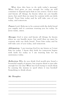What does this have to do with today's message? When God gives us just enough for today we will continue to depend upon him as our source. God is wise and knows all things; he knows when we can handle more, but until then we must be content with our daily bread. Trust him today and he will take care of you today, and tomorrow.

**Prayer:** Lord, Help me to be content with the daily bread you supply and to continue trusting you for today. In Jesus name, amen.

**Message:** God is wise and knows all things; he knows when we can handle more, but until then we must be content with our daily bread. Trust him today and he will take care of you today, and tomorrow.

**Affirmation:** I am trusting God for my future as I trust him for today. I know that faith for tomorrow begins with faith for today so I am trusting him for my sustenance today.

**Reflection:** Why do you think God would give Israel a bountiful supply of manna, but require them to just take enough for one day? What was God trying to teach them by causing the manna to spoil when it was horded? Something to think about.

 $\overline{\phantom{a}}$  , which is a set of the set of the set of the set of the set of the set of the set of the set of the set of the set of the set of the set of the set of the set of the set of the set of the set of the set of th  $\overline{\phantom{a}}$  , where the contract of the contract of the contract of the contract of the contract of the contract of the contract of the contract of the contract of the contract of the contract of the contract of the contr  $\overline{\phantom{a}}$  , where the contract of the contract of the contract of the contract of the contract of the contract of the contract of the contract of the contract of the contract of the contract of the contract of the contr \_\_\_\_\_\_\_\_\_\_\_\_\_\_\_\_\_\_\_\_\_\_\_\_\_\_\_\_\_\_\_\_ \_\_\_\_\_\_\_\_\_\_\_\_\_\_\_\_\_\_\_\_\_\_\_\_\_\_\_\_\_\_\_\_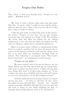#### **Forgive Our Debts**

This, then, is how you should pray… Forgive us our debts. – Matthew 6:9,12

We used to sing a chorus some years ago that went like this, "I owed a debt I could not pay and he paid a debt he did not owe." That is the case for all of us who have come to faith in Christ.

I like the way Luke recorded this part of the prayer. He writes, "Forgive us our sins, for we also forgive everyone who sins against us" (Luke 11:4). He clarifies the point that the debt for which we are asking forgiveness is our sins and the debts we forgive are the sins, or offences, others have committed against us.

Most of us have never robbed or caused great bodily harm to come to another, but we have all sinned. Sin is a part of the human condition and God has made a way for us to deal with our sinfulness through faith in Christ. The following is excerpted from "The Lord's Prayer Directive," an examination of this prayer:

#### **"Forgive us our debts..."**

We have sinned, and if we say we haven't we are lying. Before you become upset with me for saying that, take note; it wasn't me who said it. 1 John 1:8 says that very thing. But verse 9 of that same chapter ys, "If we confess our sins, he is faithful and just and will forgive us our sins and purify us from all unrighteousness."

God has made provision in Jesus Christ to forgive all our sins, but we have to ask him. In fact, every day when we pray through this prayer we should spend some time thinking through the previous day and ask God to bring to our mind anything we did, or thought about doing that we need to be cleansed of.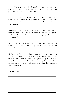Then we should ask God to forgive us of those things. And he will because, "He is faithful and just and will forgive us our sins."

Prayer: I know I have sinned, and I need your forgiveness. Grant me repentance for all my sins and wash me clean of every wrong desire. In Jesus name I pray. Amen.

**Message:** 1 John 1:9 tells us, "If we confess our sins, he is faithful and just and will forgive us our sins and purify us from all unrighteousness." So we pray, "Forgive us our debts."

**Affirmation:** I confess my sins and He is faithful to forgive me and He is purifying me from all unrighteousness.

**Reflection:** You and I have owed a debt we could not pay and He paid that debt for us. Is there anything we must do to be beneficiary of his gracious gift? When we ask, "Forgive us our debts," is He obligated to do that? Reflect on grace and forgiveness and what that means to you personally.

 $\overline{\phantom{a}}$  , which is a set of the set of the set of the set of the set of the set of the set of the set of the set of the set of the set of the set of the set of the set of the set of the set of the set of the set of th  $\overline{\phantom{a}}$  , where the contract of the contract of the contract of the contract of the contract of the contract of the contract of the contract of the contract of the contract of the contract of the contract of the contr \_\_\_\_\_\_\_\_\_\_\_\_\_\_\_\_\_\_\_\_\_\_\_\_\_\_\_\_\_\_\_\_ \_\_\_\_\_\_\_\_\_\_\_\_\_\_\_\_\_\_\_\_\_\_\_\_\_\_\_\_\_\_\_\_  $\overline{\phantom{a}}$  , which is a set of the set of the set of the set of the set of the set of the set of the set of the set of the set of the set of the set of the set of the set of the set of the set of the set of the set of th  $\overline{\phantom{a}}$  , where the contract of the contract of the contract of the contract of the contract of the contract of the contract of the contract of the contract of the contract of the contract of the contract of the contr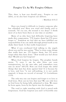#### **Forgive Us As We Forgive Others**

This, then, is how you should pray… Forgive us our debts, as we also have forgiven our debtors.

– Matthew 6:9,12

Have you found it difficult to forgive someone who has offended you? Have you tried and finally said to yourself, "It's no use, the wound is too deep"? I think most of us have been there at one time or another.

Many of us who have had difficulty forgiving have made this compromise; "I'll forgive them but I'll never forget it." Somehow we feel that we have fulfilled our responsibility if we can smile through gritted teeth as we shake their hand. Is that really forgiveness?

What if you overheard God talking to the angels about you and he was saying, "They've done some things that really hurt me. I'll forgive them, but I'll never forget what they have done." How would you feel about that? Would you feel forgiven?

When God forgives he forgets. The prophet Isaiah wrote, "I, even I, am he who blots out your transgressions, for my own sake, and remembers your sins no more" (43:25). How can God forget the awful things that man has done against him? It is because he is love, and love "is not self-seeking, it is not easily angered, it keeps no record of wrongs" (1 Corinthians  $13:5$ ).

The only way one can forgive and forget is to love as God loves. How can we love that way? We can only love as God loves by being fully submitted to him. We must be born again, born by his Spirit into his kingdom.

The road to right standing with God is paved with forgiveness. God has forgiven you and I of horrible sins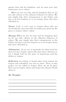against him and his kingdom, now we must pass that forgiveness on to others.

When we live for him and his kingdom then we do not take offense at the offensive behavior of others. We just simply take their transgression to the Father and just as he has forgiven us so we forgive those who have offended us.

Prayer: Lord, it isn't easy to forgive those who are inconsiderate, and some that are malicious; grant me the grace to forgive others. Amen.

**Message:** When we live for him and his kingdom then we do not take offense at the offensive behavior of others. We just simply take their transgression to the Father and just as he has forgiven us so we forgive those who have offended us.

**Affirmation:** As an act of gratitude for what God has done for me I forgive others who have been offensive to me. I thank God for the grace of forgiveness and the ability to forgive.

**Reflection:** According to Isaiah when God forgives he forgets and remembers our sins no more. Then, in this prayer, we are called to forgive. How can we do that? How can we forgive others and forget the offense? Think about it.

 $\overline{\phantom{a}}$  , where the contract of the contract of the contract of the contract of the contract of the contract of the contract of the contract of the contract of the contract of the contract of the contract of the contr \_\_\_\_\_\_\_\_\_\_\_\_\_\_\_\_\_\_\_\_\_\_\_\_\_\_\_\_\_\_\_\_  $\overline{\phantom{a}}$  , which is a set of the set of the set of the set of the set of the set of the set of the set of the set of the set of the set of the set of the set of the set of the set of the set of the set of the set of th  $\overline{\phantom{a}}$  , where the contract of the contract of the contract of the contract of the contract of the contract of the contract of the contract of the contract of the contract of the contract of the contract of the contr  $\overline{\phantom{a}}$  , where the contract of the contract of the contract of the contract of the contract of the contract of the contract of the contract of the contract of the contract of the contract of the contract of the contr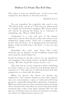#### **Deliver Us From The Evil One**

This, then, is how you should pray… Lead us not into temptation, but deliver us from the evil one.

– Matthew 6:9,13

Do you remember the comedian who used to say, "The Devil made me do it"? That line was always good for a laugh, but God wasn't laughing. We cannot justify our actions by passing the blame on to someone, or something, else. That is called denial.

Temptation is a very real part of the human experience, but we often do not realize the source of our temptation. James writes, "Each one is tempted when, by his own evil desire, he is dragged away and enticed" (James 1:14). It really wasn't the devil – it was our own desires.

Remember the comic strip Pogo? This comic character was an alligator in the everglades swamp and every week he would impart his

brand of wisdom to all who read it. In one episode he was standing in the swamp ready to do battle and he was saying, "We have found the enemy and he is us."

The only way we can be tempted is when something we desire comes to our attention and demands that we respond to it. The only way to effectively deal with this temptation is to deal with the desire.

When we destroy the desire we destroy the temptation. God created systems in man that releases into our consciousness a sense of calm and well being giving us a generally pleasurable experience as humans. When we walk in his way these systems produce harmony and a balanced life, but when we pursue the pleasurable sensation that comes from these systems then our life gets out of balance and our desire for pleasure overrides our desire for righteousness and we sin.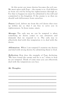At this point our inner desires becomes the evil one. We must agree with Pogo – the enemy is us. God delivers us from our evil by living his righteousness through us. For that to happen we must be submitted to his will and committed to his kingdom. If the enemy is us then we should seek deliverance from ourselves.

**Prayer:** Lord, deliver me from the evil desire that rises up within me so that I am free to serve you in righteousness. In Jesus name, amen.

**Message:** The only way we can be tempted is when something we desire comes to our attention and demands that we respond to it. The only way to effectively deal with this temptation is to deal with the desire.

**Affirmation:** When I am tempted I examine my desires and deal with wrong desires by submitting them to God.

**Reflection:** How does the example of Pogo declaring, "We have found the enemy and he is us," relate to how we are tempted. Think of some ways you can effectively deal with the temptations you face.

\_\_\_\_\_\_\_\_\_\_\_\_\_\_\_\_\_\_\_\_\_\_\_\_\_\_\_\_\_\_\_\_  $\overline{\phantom{a}}$  , which is a set of the set of the set of the set of the set of the set of the set of the set of the set of the set of the set of the set of the set of the set of the set of the set of the set of the set of th  $\overline{\phantom{a}}$  , which is a set of the set of the set of the set of the set of the set of the set of the set of the set of the set of the set of the set of the set of the set of the set of the set of the set of the set of th  $\overline{\phantom{a}}$  , where the contract of the contract of the contract of the contract of the contract of the contract of the contract of the contract of the contract of the contract of the contract of the contract of the contr \_\_\_\_\_\_\_\_\_\_\_\_\_\_\_\_\_\_\_\_\_\_\_\_\_\_\_\_\_\_\_\_ \_\_\_\_\_\_\_\_\_\_\_\_\_\_\_\_\_\_\_\_\_\_\_\_\_\_\_\_\_\_\_\_  $\overline{\phantom{a}}$  , which is a set of the set of the set of the set of the set of the set of the set of the set of the set of the set of the set of the set of the set of the set of the set of the set of the set of the set of th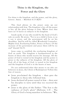### **Thine is the Kingdom, the Power and the Glory**

For thine is the kingdom, and the power, and the glory, forever. Amen. – Matthew 6:13 (KJV)

This final phrase in the prayer sums up our relationship with him. The kingdom is his; all the power is his; all the glory belongs to him. Where does that leave us? It leaves us subjects in his kingdom.

Isaiah spoke of one who would be the head of God's rule on earth. He wrote, "For to us a child is born, to us a son is given, and the government will be on his shoulders. And he will be called Wonderful Counselor, Mighty God, Everlasting Father, Prince of Peace. Of the increase of his government and peace there will be no end" (Isaiah 9:6-7).

Jesus came to establish the everlasting kingdom of God on earth. This kingdom is headquartered in the hearts of those who would receive his message. All the power of God is ve sted in his kingdom and his power is given to the subjects of his kingdom. All the glory of God, all of the hope of God, is vested in his kingdom and the kingdom of God is in the hearts of men.

Do you understand what that means to we who are believers in Jesus, the Christ of Redemption? Follow this line of reason:

- Jesus proclaimed the kingdom then gave the kingdom to those who followed him.
- Jesus declared all power rested in him then sent his disciples to tarry until they too received the power.
- Jesus is the glory of the Father: "The Son is the radiance of God's glory" (Hebrews 1:3) – The Glory of God is being manifest in believers: "We,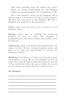who with unveiled faces all reflect the Lord's glory, are being transformed into his likeness with ever-increasing glory" (2 Corinthians 3:18).

His is the kingdom, and we are his kingdom. All of heavens power is invested in we who are the kingdom. All glory has been given to the kingdom. We have a kingdom responsibility to this generation.

Prayer: Lord, grant me grace to be a witness to your kingdom. Amen.

**Message:** Jesus came to establish the everlasting kingdom of God on earth. This kingdom is headquartered in the hearts of those who would receive his message.

**Affirmation:** Jesus is the king of the kingdom and I am subject to him. He has invested kingdom power and glory in me with the responsibility to re -invest his kingdom in others.

**Reflection:** As followers of Christ we have been given the kingdom of God: We are the kingdom of God on earth. Give some thought to what that means to you and I. How should that affect the way we think, the way we act and the way we speak? How has it affected you?

\_\_\_\_\_\_\_\_\_\_\_\_\_\_\_\_\_\_\_\_\_\_\_\_\_\_\_\_\_\_\_\_  $\overline{\phantom{a}}$  , which is a set of the set of the set of the set of the set of the set of the set of the set of the set of the set of the set of the set of the set of the set of the set of the set of the set of the set of th  $\overline{\phantom{a}}$  , where the contract of the contract of the contract of the contract of the contract of the contract of the contract of the contract of the contract of the contract of the contract of the contract of the contr  $\overline{\phantom{a}}$  , where the contract of the contract of the contract of the contract of the contract of the contract of the contract of the contract of the contract of the contract of the contract of the contract of the contr \_\_\_\_\_\_\_\_\_\_\_\_\_\_\_\_\_\_\_\_\_\_\_\_\_\_\_\_\_\_\_\_ \_\_\_\_\_\_\_\_\_\_\_\_\_\_\_\_\_\_\_\_\_\_\_\_\_\_\_\_\_\_\_\_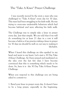### **The "Take A Knee" Prayer Challenge**

I was recently moved by the story a man who was challenged to "Take A Knee" every day for 30 days. This man had been struggling in his faith walk. He was trying to overcome undesirable behaviors which had become habitual and were affecting his faith walk.

The Challenge was to simply take a knee in prayer every day. Just that simple. We are told that if we will do something for at least 21 days in a row it will become a habit so if we practice taking a knee in prayer for 30 days we should be well on our way to making it a life-habit.

When I heard this challenge an idea sparked in my head and went to my heart. Let's start a 30 Day Take A Knee Challenge. As I have prayed and meditated on the idea over the last few days I have become convinced that this is something which needs to be done. So, here it is - the 30 Day Take A Knee Prayer Challenge.

When you respond to this challenge you are being asked to commit to:

1. Bend your knee in prayer every day. It doesn't have to be a long prayer, especially in the beginning.